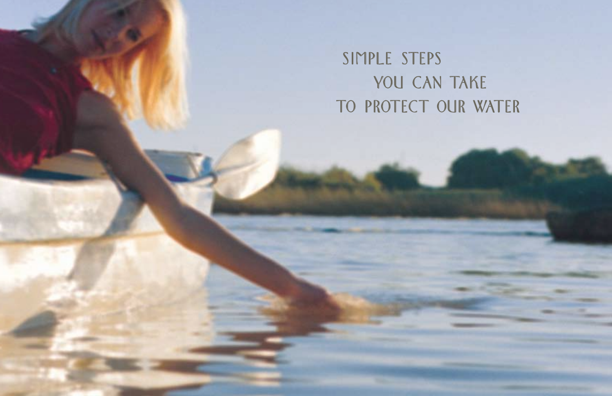SIMPLE STEPS YOU CAN TAKE TO PROTECT OUR WATER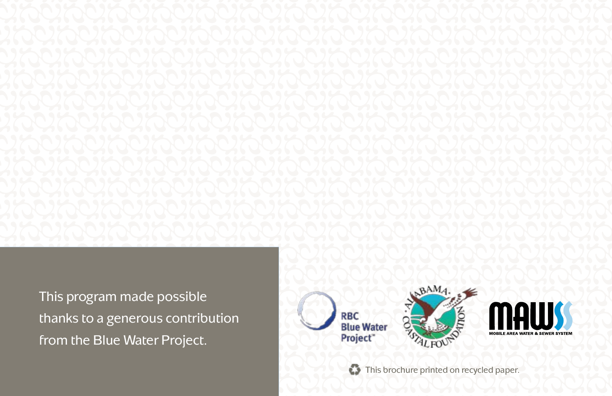This program made possible thanks to a generous contribution from the Blue Water Project.



ooooooooooooooo ooooooooooooooo

ooooooooooooooo ooooooooooooooo

This brochure printed on recycled paper.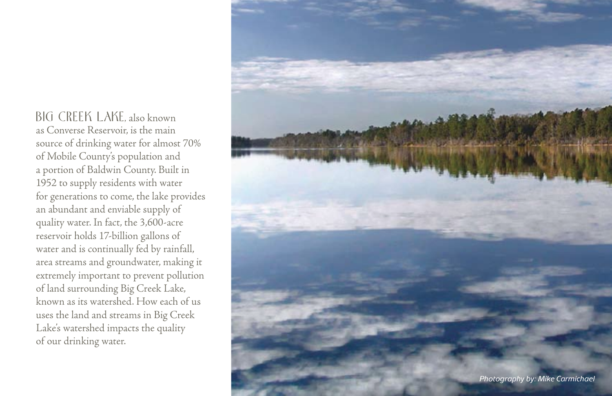Big Creek Lake, also known as Converse Reservoir, is the main source of drinking water for almost 70% of Mobile County's population and a portion of Baldwin County. Built in 1952 to supply residents with water for generations to come, the lake provides an abundant and enviable supply of quality water. In fact, the 3,600-acre reservoir holds 17-billion gallons of water and is continually fed by rainfall, area streams and groundwater, making it extremely important to prevent pollution of land surrounding Big Creek Lake, known as its watershed. How each of us uses the land and streams in Big Creek Lake's watershed impacts the quality of our drinking water.

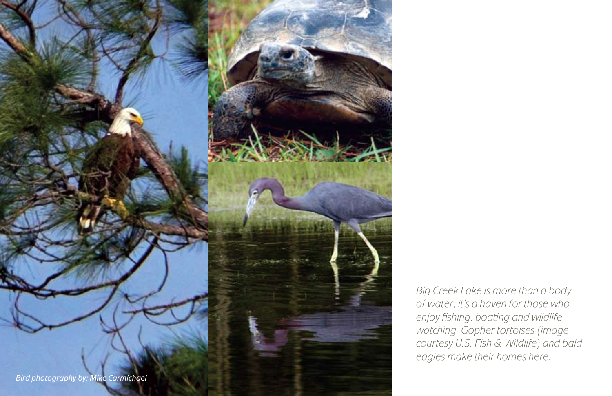

Big Creek Lake is more than a body of water; it's a haven for those who enjoy fishing, boating and wildlife watching. Gopher tortoises (image courtesy U.S. Fish & Wildlife) and bald eagles make their homes here.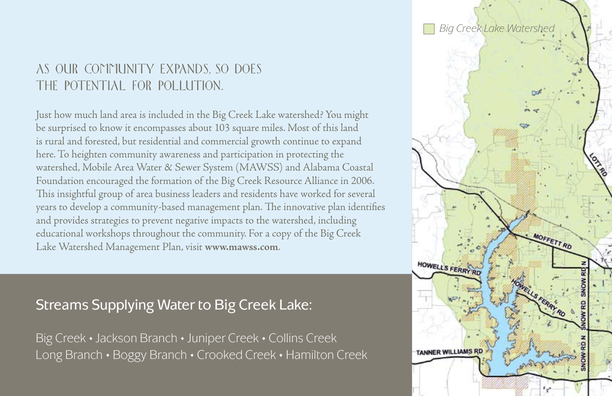# AS OUR COMMUNITY EXPANDS, SO DOES THE POTENTIAL FOR POLLUTION.

Just how much land area is included in the Big Creek Lake watershed? You might be surprised to know it encompasses about 103 square miles. Most of this land is rural and forested, but residential and commercial growth continue to expand here. To heighten community awareness and participation in protecting the watershed, Mobile Area Water & Sewer System (MAWSS) and Alabama Coastal Foundation encouraged the formation of the Big Creek Resource Alliance in 2006. This insightful group of area business leaders and residents have worked for several years to develop a community-based management plan. The innovative plan identifies and provides strategies to prevent negative impacts to the watershed, including educational workshops throughout the community. For a copy of the Big Creek Lake Watershed Management Plan, visit **www.mawss.com**.

## Streams Supplying Water to Big Creek Lake:

Big Creek • Jackson Branch • Juniper Creek • Collins Creek Long Branch • Boggy Branch • Crooked Creek • Hamilton Creek

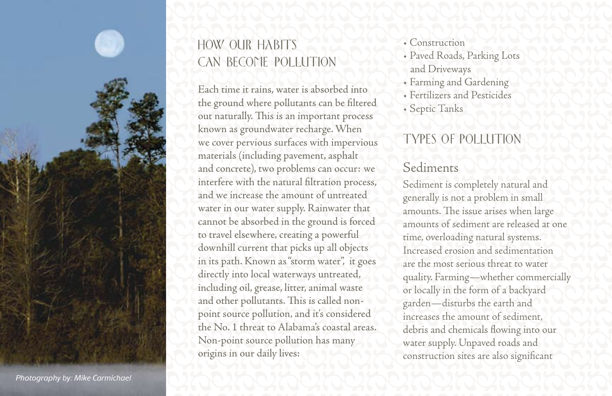

# How Our Habits Can Become Pollution

known as groundwater recharge. When<br>we cover pervious surfaces with impervious TYPES OF POLLUTION<br>materials (including pavement, asphalt<br>and concrete), two problems can occur: we Sediments<br>interfere with the natural filtra and concrete), two problems can occur: we<br>interfere with the natural filtration process,<br>and we increase the amount of untreated<br>water in our water supply. Rainwater that<br>cannot be absorbed in the ground is forced<br>amounts annot be absorbed in the ground is forced<br>to travel elsewhere, creating a powerful<br>downhill current that picks up all objects<br>in its path. Known as "storm water", it goes<br>directly into local waterways untreated in its path. Known as "storm water", it goes<br>directly into local waterways untreated,<br>including oil, grease, litter, animal waste<br>and other pollutants. This is called non-<br>point source pollution, and it's considered<br>increa Each time it rains, water is absorbed into the ground where pollutants can be filtered out naturally. This is an important process known as groundwater recharge. When we cover pervious surfaces with impervious materials (including pavement, asphalt and concrete), two problems can occur: we interfere with the natural filtration process, and we increase the amount of untreated water in our water supply. Rainwater that cannot be absorbed in the ground is forced to travel elsewhere, creating a powerful downhill current that picks up all objects in its path. Known as "storm water", it goes directly into local waterways untreated, including oil, grease, litter, animal waste and other pollutants. This is called nonpoint source pollution, and it's considered the No. 1 threat to Alabama's coastal areas. Non-point source pollution has many origins in our daily lives:

ooooooooooooooo ooooooooooooooo

- Construction
- Paved Roads, Parking Lots and Driveways
- Farming and Gardening
- Fertilizers and Pesticides
- Septic Tanks

# TYPES OF PO

# Sediments

Sediment is completely natural and generally is not a problem in small amounts. The issue arises when large amounts of sediment are released at one time, overloading natural systems. Increased erosion and sedimentation are the most serious threat to water quality. Farming—whether commercially or locally in the form of a backyard garden—disturbs the earth and increases the amount of sediment, debris and chemicals flowing into our water supply. Unpaved roads and construction sites are also significant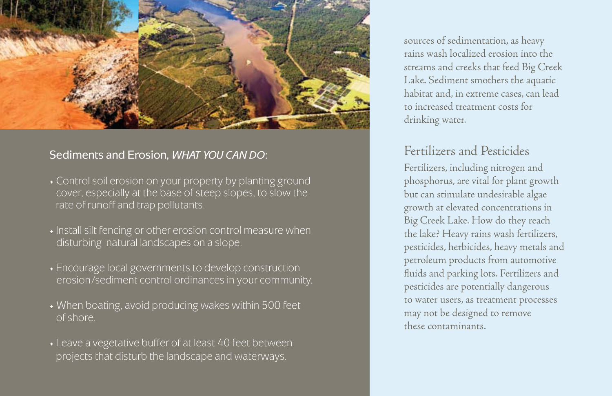

#### Sediments and Erosion, WHAT YOU CAN DO:

- Control soil erosion on your property by planting ground cover, especially at the base of steep slopes, to slow the rate of runoff and trap pollutants.
- •Install silt fencing or other erosion control measure when disturbing natural landscapes on a slope.
- Encourage local governments to develop construction erosion/sediment control ordinances in your community.
- When boating, avoid producing wakes within 500 feet of shore.
- Leave a vegetative buffer of at least 40 feet between projects that disturb the landscape and waterways.

sources of sedimentation, as heavy rains wash localized erosion into the streams and creeks that feed Big Creek Lake. Sediment smothers the aquatic habitat and, in extreme cases, can lead to increased treatment costs for drinking water.

### Fertilizers and Pesticides

Fertilizers, including nitrogen and phosphorus, are vital for plant growth but can stimulate undesirable algae growth at elevated concentrations in Big Creek Lake. How do they reach the lake? Heavy rains wash fertilizers, pesticides, herbicides, heavy metals and petroleum products from automotive fluids and parking lots. Fertilizers and pesticides are potentially dangerous to water users, as treatment processes may not be designed to remove these contaminants.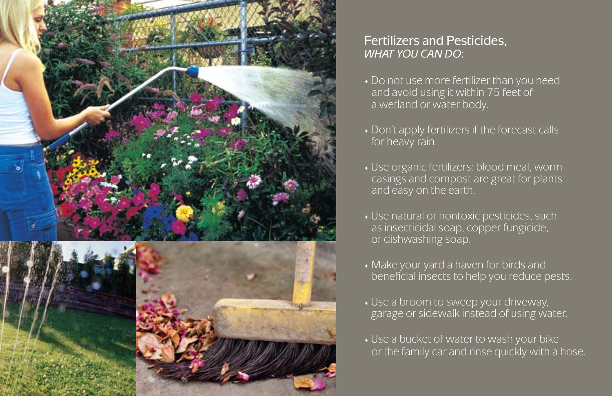

### Fertilizers and Pesticides, WHAT YOU CAN DO:

- Do not use more fertilizer than you need and avoid using it within 75 feet of a wetland or water body.
- Don't apply fertilizers if the forecast calls for heavy rain.
- Use organic fertilizers: blood meal, worm casings and compost are great for plants and easy on the earth.
- Use natural or nontoxic pesticides, such as insecticidal soap, copper fungicide, or dishwashing soap.
- Make your yard a haven for birds and beneficial insects to help you reduce pests.
- Use a broom to sweep your driveway, garage or sidewalk instead of using water.
- Use a bucket of water to wash your bike or the family car and rinse quickly with a hose.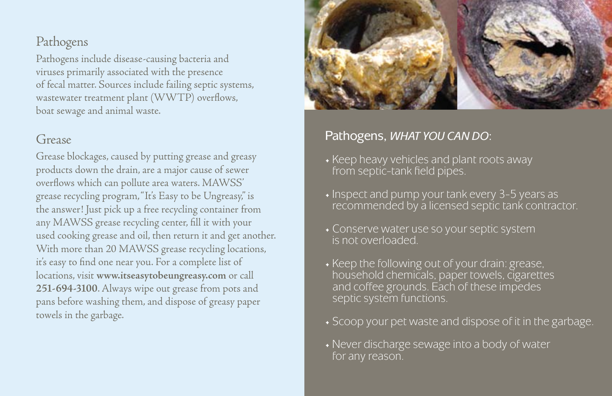### Pathogens

Pathogens include disease-causing bacteria and viruses primarily associated with the presence of fecal matter. Sources include failing septic systems, wastewater treatment plant (WWTP) overflows, boat sewage and animal waste.

### Grease

Grease blockages, caused by putting grease and greasy products down the drain, are a major cause of sewer overflows which can pollute area waters. MAWSS' grease recycling program, "It's Easy to be Ungreasy," is the answer! Just pick up a free recycling container from any MAWSS grease recycling center, fill it with your used cooking grease and oil, then return it and get another. With more than 20 MAWSS grease recycling locations, it's easy to find one near you. For a complete list of locations, visit **www.itseasytobeungreasy.com** or call **251-694-3100**. Always wipe out grease from pots and pans before washing them, and dispose of greasy paper towels in the garbage.



### Pathogens, WHAT YOU CAN DO:

- Keep heavy vehicles and plant roots away from septic-tank field pipes.
- Inspect and pump your tank every 3-5 years as recommended by a licensed septic tank contractor.
- Conserve water use so your septic system is not overloaded.
- Keep the following out of your drain: grease, household chemicals, paper towels, cigarettes and coffee grounds. Each of these impedes septic system functions.
- Scoop your pet waste and dispose of it in the garbage.
- Never discharge sewage into a body of water for any reason.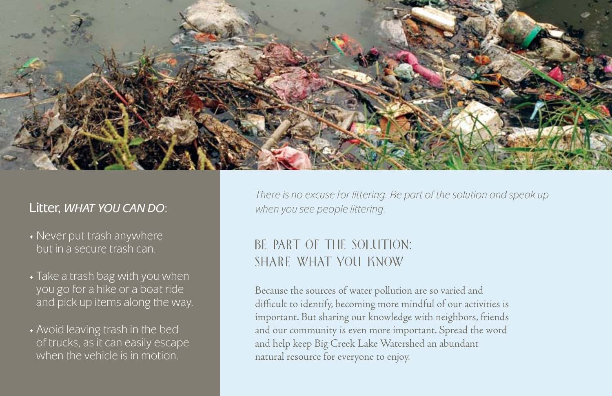

#### Litter, WHAT YOU CAN DO: when you see people littering.

- Never put trash anywhere but in a secure trash can.
- Take a trash bag with you when you go for a hike or a boat ride and pick up items along the way.
- Avoid leaving trash in the bed of trucks, as it can easily escape when the vehicle is in motion.

There is no excuse for littering. Be part of the solution and speak up

# BE PART OF THE SOLUTION: SHARE WHAT YOU KNOW

Because the sources of water pollution are so varied and difficult to identify, becoming more mindful of our activities is important. But sharing our knowledge with neighbors, friends and our community is even more important. Spread the word and help keep Big Creek Lake Watershed an abundant natural resource for everyone to enjoy.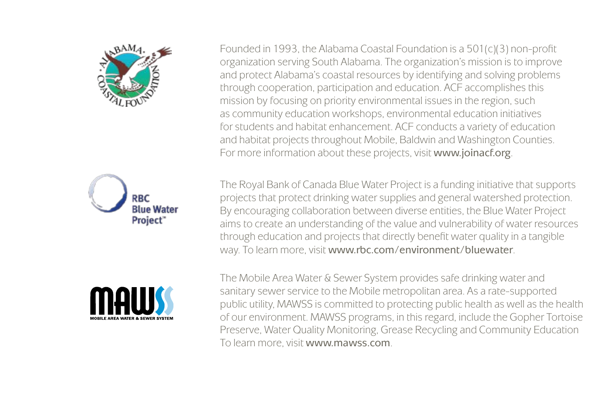





Founded in 1993, the Alabama Coastal Foundation is a 501(c)(3) non-profit organization serving South Alabama. The organization's mission is to improve and protect Alabama's coastal resources by identifying and solving problems through cooperation, participation and education. ACF accomplishes this mission by focusing on priority environmental issues in the region, such as community education workshops, environmental education initiatives for students and habitat enhancement. ACF conducts a variety of education and habitat projects throughout Mobile, Baldwin and Washington Counties. For more information about these projects, visit www.joinacf.org.

The Royal Bank of Canada Blue Water Project is a funding initiative that supports projects that protect drinking water supplies and general watershed protection. By encouraging collaboration between diverse entities, the Blue Water Project aims to create an understanding of the value and vulnerability of water resources through education and projects that directly benefit water quality in a tangible way. To learn more, visit www.rbc.com/environment/bluewater.

The Mobile Area Water & Sewer System provides safe drinking water and sanitary sewer service to the Mobile metropolitan area. As a rate-supported public utility, MAWSS is committed to protecting public health as well as the health of our environment. MAWSS programs, in this regard, include the Gopher Tortoise Preserve, Water Quality Monitoring, Grease Recycling and Community Education To learn more, visit www.mawss.com.